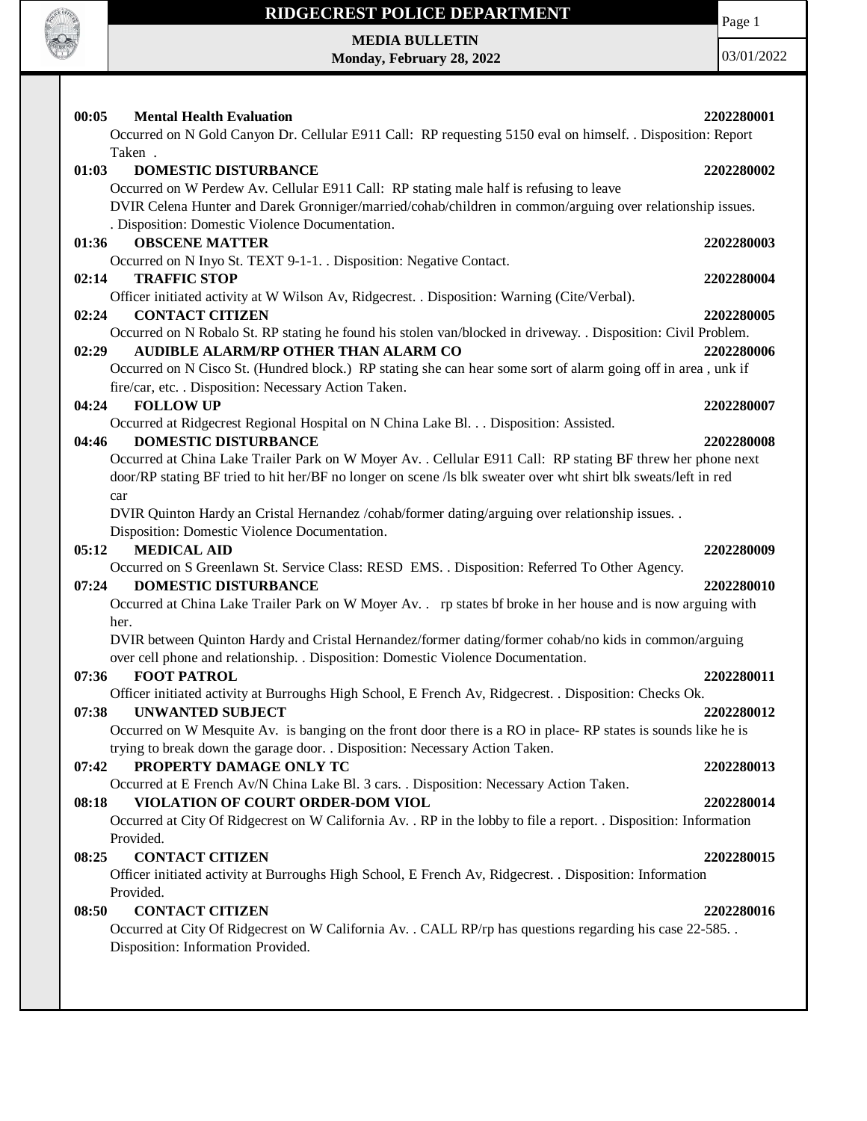

Page 1

**MEDIA BULLETIN Monday, February 28, 2022**

| 00:05<br><b>Mental Health Evaluation</b>                                                                          | 2202280001 |
|-------------------------------------------------------------------------------------------------------------------|------------|
| Occurred on N Gold Canyon Dr. Cellular E911 Call: RP requesting 5150 eval on himself. . Disposition: Report       |            |
| Taken.                                                                                                            |            |
| <b>DOMESTIC DISTURBANCE</b><br>01:03                                                                              | 2202280002 |
| Occurred on W Perdew Av. Cellular E911 Call: RP stating male half is refusing to leave                            |            |
| DVIR Celena Hunter and Darek Gronniger/married/cohab/children in common/arguing over relationship issues.         |            |
|                                                                                                                   |            |
| . Disposition: Domestic Violence Documentation.                                                                   |            |
| <b>OBSCENE MATTER</b><br>01:36                                                                                    | 2202280003 |
| Occurred on N Inyo St. TEXT 9-1-1. . Disposition: Negative Contact.                                               |            |
| <b>TRAFFIC STOP</b><br>02:14                                                                                      | 2202280004 |
| Officer initiated activity at W Wilson Av, Ridgecrest. . Disposition: Warning (Cite/Verbal).                      |            |
| <b>CONTACT CITIZEN</b><br>02:24                                                                                   | 2202280005 |
| Occurred on N Robalo St. RP stating he found his stolen van/blocked in driveway. . Disposition: Civil Problem.    |            |
| AUDIBLE ALARM/RP OTHER THAN ALARM CO<br>02:29                                                                     | 2202280006 |
| Occurred on N Cisco St. (Hundred block.) RP stating she can hear some sort of alarm going off in area, unk if     |            |
| fire/car, etc. . Disposition: Necessary Action Taken.                                                             |            |
| <b>FOLLOW UP</b><br>04:24                                                                                         | 2202280007 |
| Occurred at Ridgecrest Regional Hospital on N China Lake Bl. Disposition: Assisted.                               |            |
| <b>DOMESTIC DISTURBANCE</b><br>04:46                                                                              | 2202280008 |
| Occurred at China Lake Trailer Park on W Moyer Av. . Cellular E911 Call: RP stating BF threw her phone next       |            |
| door/RP stating BF tried to hit her/BF no longer on scene /ls blk sweater over wht shirt blk sweats/left in red   |            |
| car                                                                                                               |            |
| DVIR Quinton Hardy an Cristal Hernandez /cohab/former dating/arguing over relationship issues. .                  |            |
| Disposition: Domestic Violence Documentation.                                                                     |            |
| <b>MEDICAL AID</b><br>05:12                                                                                       | 2202280009 |
| Occurred on S Greenlawn St. Service Class: RESD EMS. . Disposition: Referred To Other Agency.                     |            |
| <b>DOMESTIC DISTURBANCE</b><br>07:24                                                                              | 2202280010 |
| Occurred at China Lake Trailer Park on W Moyer Av. rp states bf broke in her house and is now arguing with        |            |
| her.                                                                                                              |            |
| DVIR between Quinton Hardy and Cristal Hernandez/former dating/former cohab/no kids in common/arguing             |            |
| over cell phone and relationship. . Disposition: Domestic Violence Documentation.                                 |            |
| 07:36<br><b>FOOT PATROL</b>                                                                                       | 2202280011 |
| Officer initiated activity at Burroughs High School, E French Av, Ridgecrest. . Disposition: Checks Ok.           |            |
| <b>UNWANTED SUBJECT</b><br>07:38                                                                                  | 2202280012 |
| Occurred on W Mesquite Av. is banging on the front door there is a RO in place-RP states is sounds like he is     |            |
| trying to break down the garage door. . Disposition: Necessary Action Taken.                                      |            |
| PROPERTY DAMAGE ONLY TC<br>07:42                                                                                  |            |
|                                                                                                                   | 2202280013 |
| Occurred at E French Av/N China Lake Bl. 3 cars. . Disposition: Necessary Action Taken.                           |            |
| VIOLATION OF COURT ORDER-DOM VIOL<br>08:18                                                                        | 2202280014 |
| Occurred at City Of Ridgecrest on W California Av. . RP in the lobby to file a report. . Disposition: Information |            |
| Provided.                                                                                                         |            |
| 08:25<br><b>CONTACT CITIZEN</b>                                                                                   | 2202280015 |
|                                                                                                                   |            |
| Officer initiated activity at Burroughs High School, E French Av, Ridgecrest. . Disposition: Information          |            |
| Provided.                                                                                                         |            |
| <b>CONTACT CITIZEN</b><br>08:50                                                                                   | 2202280016 |
| Occurred at City Of Ridgecrest on W California Av. . CALL RP/rp has questions regarding his case 22-585. .        |            |
| Disposition: Information Provided.                                                                                |            |
|                                                                                                                   |            |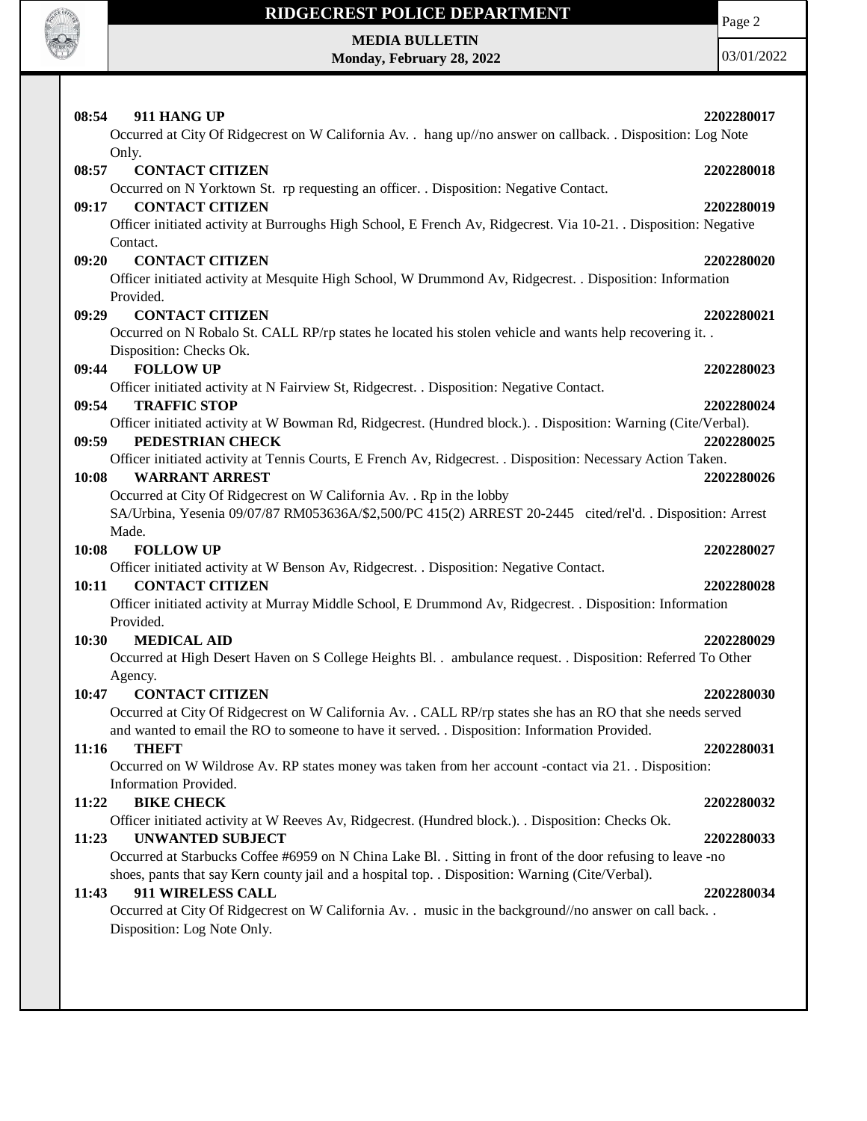

Page 2

**MEDIA BULLETIN Monday, February 28, 2022**

| 08:54<br>911 HANG UP<br>Occurred at City Of Ridgecrest on W California Av. . hang up//no answer on callback. . Disposition: Log Note<br>Only.                                                                   | 2202280017 |
|-----------------------------------------------------------------------------------------------------------------------------------------------------------------------------------------------------------------|------------|
| <b>CONTACT CITIZEN</b><br>08:57                                                                                                                                                                                 | 2202280018 |
| Occurred on N Yorktown St. rp requesting an officer. . Disposition: Negative Contact.<br>09:17<br><b>CONTACT CITIZEN</b>                                                                                        | 2202280019 |
| Officer initiated activity at Burroughs High School, E French Av, Ridgecrest. Via 10-21. Disposition: Negative<br>Contact.                                                                                      |            |
| 09:20<br><b>CONTACT CITIZEN</b>                                                                                                                                                                                 | 2202280020 |
| Officer initiated activity at Mesquite High School, W Drummond Av, Ridgecrest. . Disposition: Information                                                                                                       |            |
| Provided.<br><b>CONTACT CITIZEN</b><br>09:29                                                                                                                                                                    | 2202280021 |
| Occurred on N Robalo St. CALL RP/rp states he located his stolen vehicle and wants help recovering it. .                                                                                                        |            |
| Disposition: Checks Ok.                                                                                                                                                                                         |            |
| <b>FOLLOW UP</b><br>09:44                                                                                                                                                                                       | 2202280023 |
| Officer initiated activity at N Fairview St, Ridgecrest. . Disposition: Negative Contact.                                                                                                                       |            |
| <b>TRAFFIC STOP</b><br>09:54                                                                                                                                                                                    | 2202280024 |
| Officer initiated activity at W Bowman Rd, Ridgecrest. (Hundred block.). . Disposition: Warning (Cite/Verbal).                                                                                                  |            |
| PEDESTRIAN CHECK<br>09:59<br>Officer initiated activity at Tennis Courts, E French Av, Ridgecrest. . Disposition: Necessary Action Taken.                                                                       | 2202280025 |
| 10:08<br><b>WARRANT ARREST</b>                                                                                                                                                                                  | 2202280026 |
| Occurred at City Of Ridgecrest on W California Av. . Rp in the lobby                                                                                                                                            |            |
| SA/Urbina, Yesenia 09/07/87 RM053636A/\$2,500/PC 415(2) ARREST 20-2445 cited/rel'd. . Disposition: Arrest<br>Made.                                                                                              |            |
| 10:08<br><b>FOLLOW UP</b>                                                                                                                                                                                       | 2202280027 |
| Officer initiated activity at W Benson Av, Ridgecrest. . Disposition: Negative Contact.                                                                                                                         |            |
| <b>CONTACT CITIZEN</b><br>10:11                                                                                                                                                                                 | 2202280028 |
| Officer initiated activity at Murray Middle School, E Drummond Av, Ridgecrest. . Disposition: Information                                                                                                       |            |
| Provided.                                                                                                                                                                                                       |            |
| <b>MEDICAL AID</b><br>10:30                                                                                                                                                                                     | 2202280029 |
| Occurred at High Desert Haven on S College Heights Bl. . ambulance request. . Disposition: Referred To Other                                                                                                    |            |
| Agency.<br><b>CONTACT CITIZEN</b><br>10:47                                                                                                                                                                      | 2202280030 |
| Occurred at City Of Ridgecrest on W California Av. . CALL RP/rp states she has an RO that she needs served                                                                                                      |            |
| and wanted to email the RO to someone to have it served. . Disposition: Information Provided.                                                                                                                   |            |
| 11:16<br><b>THEFT</b>                                                                                                                                                                                           | 2202280031 |
| Occurred on W Wildrose Av. RP states money was taken from her account -contact via 21. Disposition:                                                                                                             |            |
| Information Provided.                                                                                                                                                                                           |            |
| <b>BIKE CHECK</b><br>11:22                                                                                                                                                                                      | 2202280032 |
| Officer initiated activity at W Reeves Av, Ridgecrest. (Hundred block.). . Disposition: Checks Ok.                                                                                                              |            |
| 11:23<br><b>UNWANTED SUBJECT</b>                                                                                                                                                                                | 2202280033 |
| Occurred at Starbucks Coffee #6959 on N China Lake Bl. . Sitting in front of the door refusing to leave -no<br>shoes, pants that say Kern county jail and a hospital top. . Disposition: Warning (Cite/Verbal). |            |
| 911 WIRELESS CALL<br>11:43                                                                                                                                                                                      | 2202280034 |
| Occurred at City Of Ridgecrest on W California Av. . music in the background//no answer on call back                                                                                                            |            |
| Disposition: Log Note Only.                                                                                                                                                                                     |            |
|                                                                                                                                                                                                                 |            |
|                                                                                                                                                                                                                 |            |
|                                                                                                                                                                                                                 |            |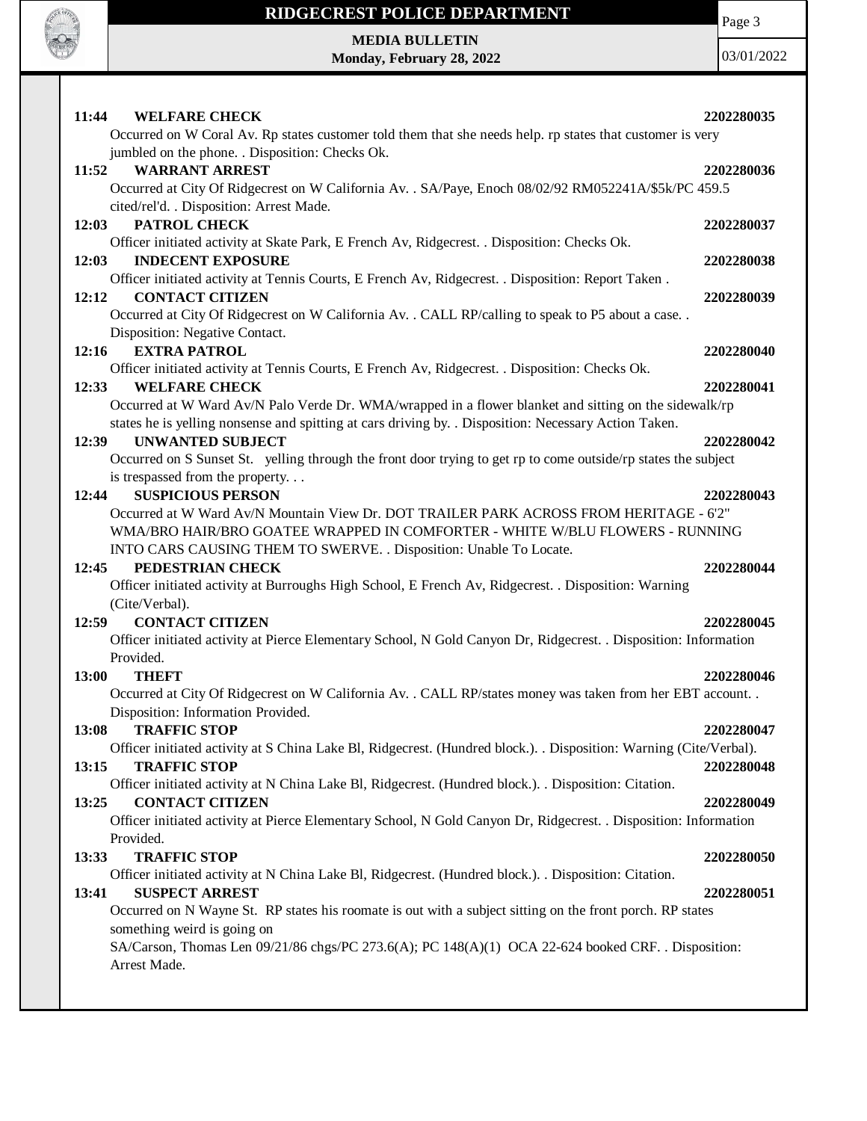

**MEDIA BULLETIN Monday, February 28, 2022** Page 3

| 11:44<br><b>WELFARE CHECK</b>                                                                                      | 2202280035 |
|--------------------------------------------------------------------------------------------------------------------|------------|
| Occurred on W Coral Av. Rp states customer told them that she needs help. rp states that customer is very          |            |
| jumbled on the phone. . Disposition: Checks Ok.                                                                    |            |
| <b>WARRANT ARREST</b><br>11:52                                                                                     | 2202280036 |
| Occurred at City Of Ridgecrest on W California Av. . SA/Paye, Enoch 08/02/92 RM052241A/\$5k/PC 459.5               |            |
| cited/rel'd. . Disposition: Arrest Made.                                                                           |            |
| PATROL CHECK<br>12:03                                                                                              | 2202280037 |
| Officer initiated activity at Skate Park, E French Av, Ridgecrest. . Disposition: Checks Ok.                       |            |
| <b>INDECENT EXPOSURE</b><br>12:03                                                                                  | 2202280038 |
| Officer initiated activity at Tennis Courts, E French Av, Ridgecrest. . Disposition: Report Taken.                 |            |
| <b>CONTACT CITIZEN</b><br>12:12                                                                                    | 2202280039 |
| Occurred at City Of Ridgecrest on W California Av. . CALL RP/calling to speak to P5 about a case. .                |            |
| Disposition: Negative Contact.                                                                                     |            |
| <b>EXTRA PATROL</b><br>12:16                                                                                       | 2202280040 |
| Officer initiated activity at Tennis Courts, E French Av, Ridgecrest. . Disposition: Checks Ok.                    |            |
| <b>WELFARE CHECK</b><br>12:33                                                                                      | 2202280041 |
| Occurred at W Ward Av/N Palo Verde Dr. WMA/wrapped in a flower blanket and sitting on the sidewalk/rp              |            |
| states he is yelling nonsense and spitting at cars driving by. . Disposition: Necessary Action Taken.              |            |
| <b>UNWANTED SUBJECT</b><br>12:39                                                                                   | 2202280042 |
| Occurred on S Sunset St. yelling through the front door trying to get rp to come outside/rp states the subject     |            |
| is trespassed from the property                                                                                    |            |
| <b>SUSPICIOUS PERSON</b><br>12:44                                                                                  | 2202280043 |
| Occurred at W Ward Av/N Mountain View Dr. DOT TRAILER PARK ACROSS FROM HERITAGE - 6'2"                             |            |
| WMA/BRO HAIR/BRO GOATEE WRAPPED IN COMFORTER - WHITE W/BLU FLOWERS - RUNNING                                       |            |
| INTO CARS CAUSING THEM TO SWERVE. . Disposition: Unable To Locate.                                                 |            |
| 12:45<br>PEDESTRIAN CHECK                                                                                          | 2202280044 |
| Officer initiated activity at Burroughs High School, E French Av, Ridgecrest. . Disposition: Warning               |            |
| (Cite/Verbal).                                                                                                     |            |
| <b>CONTACT CITIZEN</b><br>12:59                                                                                    | 2202280045 |
| Officer initiated activity at Pierce Elementary School, N Gold Canyon Dr, Ridgecrest. . Disposition: Information   |            |
| Provided.                                                                                                          |            |
| <b>THEFT</b><br>13:00                                                                                              | 2202280046 |
| Occurred at City Of Ridgecrest on W California Av. . CALL RP/states money was taken from her EBT account. .        |            |
| Disposition: Information Provided.                                                                                 |            |
| 13:08<br><b>TRAFFIC STOP</b>                                                                                       | 2202280047 |
| Officer initiated activity at S China Lake Bl, Ridgecrest. (Hundred block.). . Disposition: Warning (Cite/Verbal). |            |
| <b>TRAFFIC STOP</b><br>13:15                                                                                       | 2202280048 |
| Officer initiated activity at N China Lake Bl, Ridgecrest. (Hundred block.). Disposition: Citation.                |            |
| <b>CONTACT CITIZEN</b><br>13:25                                                                                    | 2202280049 |
| Officer initiated activity at Pierce Elementary School, N Gold Canyon Dr, Ridgecrest. . Disposition: Information   |            |
| Provided.                                                                                                          |            |
| <b>TRAFFIC STOP</b><br>13:33                                                                                       | 2202280050 |
| Officer initiated activity at N China Lake Bl, Ridgecrest. (Hundred block.). . Disposition: Citation.              |            |
| <b>SUSPECT ARREST</b><br>13:41                                                                                     | 2202280051 |
| Occurred on N Wayne St. RP states his roomate is out with a subject sitting on the front porch. RP states          |            |
| something weird is going on                                                                                        |            |
| SA/Carson, Thomas Len 09/21/86 chgs/PC 273.6(A); PC 148(A)(1) OCA 22-624 booked CRF. . Disposition:                |            |
| Arrest Made.                                                                                                       |            |
|                                                                                                                    |            |
|                                                                                                                    |            |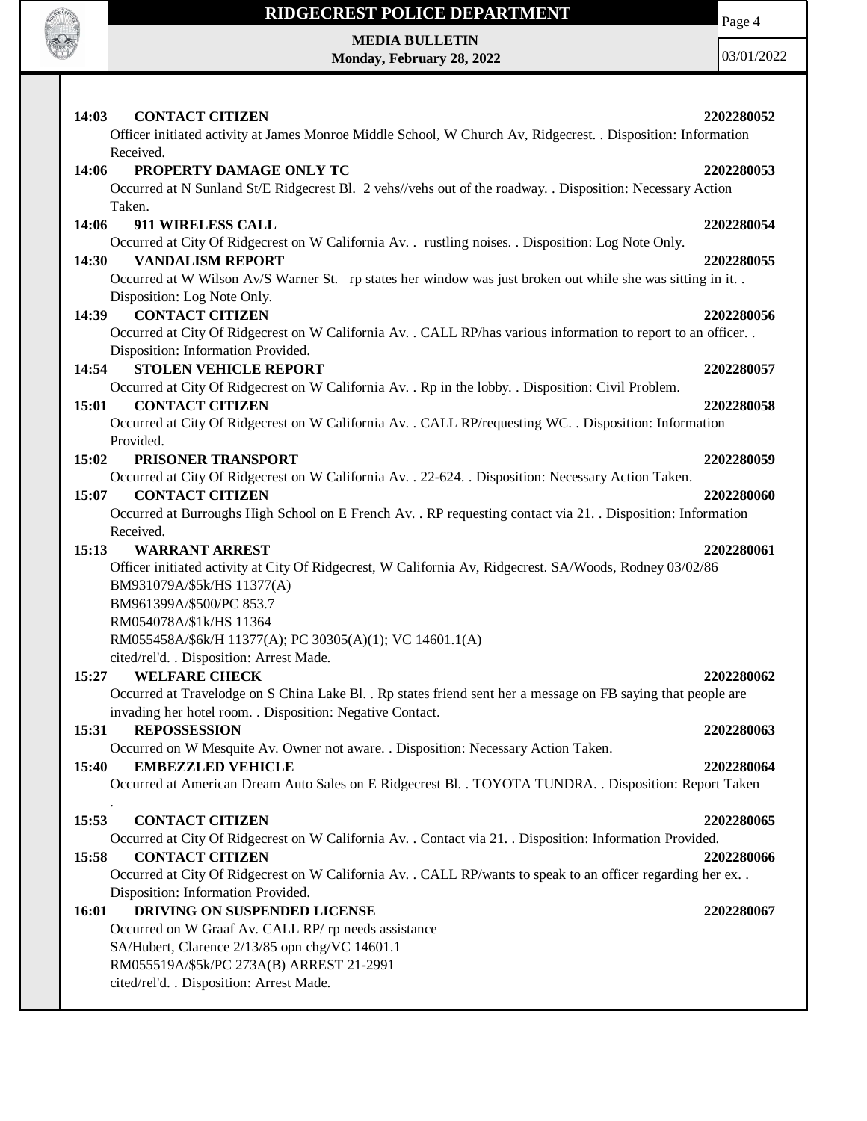

Page 4

**MEDIA BULLETIN Monday, February 28, 2022**

| Received.<br>14:06<br>PROPERTY DAMAGE ONLY TC<br>2202280053<br>Occurred at N Sunland St/E Ridgecrest Bl. 2 vehs//vehs out of the roadway. . Disposition: Necessary Action<br>Taken.<br>14:06<br>911 WIRELESS CALL<br>2202280054<br>Occurred at City Of Ridgecrest on W California Av. . rustling noises. . Disposition: Log Note Only.<br>14:30<br><b>VANDALISM REPORT</b><br>2202280055<br>Occurred at W Wilson Av/S Warner St. rp states her window was just broken out while she was sitting in it<br>Disposition: Log Note Only.<br><b>CONTACT CITIZEN</b><br>2202280056<br>14:39<br>Occurred at City Of Ridgecrest on W California Av. . CALL RP/has various information to report to an officer. .<br>Disposition: Information Provided.<br><b>STOLEN VEHICLE REPORT</b><br>14:54<br>2202280057<br>Occurred at City Of Ridgecrest on W California Av. . Rp in the lobby. . Disposition: Civil Problem.<br><b>CONTACT CITIZEN</b><br>15:01<br>2202280058<br>Occurred at City Of Ridgecrest on W California Av. . CALL RP/requesting WC. . Disposition: Information<br>Provided.<br>15:02<br>PRISONER TRANSPORT<br>2202280059<br>Occurred at City Of Ridgecrest on W California Av. . 22-624. . Disposition: Necessary Action Taken.<br><b>CONTACT CITIZEN</b><br>15:07<br>2202280060<br>Occurred at Burroughs High School on E French Av. . RP requesting contact via 21. . Disposition: Information<br>Received.<br><b>WARRANT ARREST</b><br>15:13<br>2202280061<br>Officer initiated activity at City Of Ridgecrest, W California Av, Ridgecrest. SA/Woods, Rodney 03/02/86<br>BM931079A/\$5k/HS 11377(A)<br>BM961399A/\$500/PC 853.7<br>RM054078A/\$1k/HS 11364<br>RM055458A/\$6k/H 11377(A); PC 30305(A)(1); VC 14601.1(A)<br>cited/rel'd. . Disposition: Arrest Made.<br><b>WELFARE CHECK</b><br>15:27<br>2202280062<br>Occurred at Travelodge on S China Lake Bl. . Rp states friend sent her a message on FB saying that people are<br>invading her hotel room. . Disposition: Negative Contact.<br><b>REPOSSESSION</b><br>15:31<br>2202280063<br>Occurred on W Mesquite Av. Owner not aware. . Disposition: Necessary Action Taken.<br><b>EMBEZZLED VEHICLE</b><br>15:40<br>2202280064<br>Occurred at American Dream Auto Sales on E Ridgecrest Bl. . TOYOTA TUNDRA. . Disposition: Report Taken<br>15:53<br><b>CONTACT CITIZEN</b><br>2202280065<br>Occurred at City Of Ridgecrest on W California Av. . Contact via 21. . Disposition: Information Provided.<br><b>CONTACT CITIZEN</b><br>15:58<br>2202280066<br>Occurred at City Of Ridgecrest on W California Av. . CALL RP/wants to speak to an officer regarding her ex. .<br>Disposition: Information Provided.<br>16:01<br>DRIVING ON SUSPENDED LICENSE<br>2202280067<br>Occurred on W Graaf Av. CALL RP/ rp needs assistance<br>SA/Hubert, Clarence 2/13/85 opn chg/VC 14601.1<br>RM055519A/\$5k/PC 273A(B) ARREST 21-2991<br>cited/rel'd. . Disposition: Arrest Made. | <b>CONTACT CITIZEN</b><br>14:03<br>Officer initiated activity at James Monroe Middle School, W Church Av, Ridgecrest. . Disposition: Information | 2202280052 |
|----------------------------------------------------------------------------------------------------------------------------------------------------------------------------------------------------------------------------------------------------------------------------------------------------------------------------------------------------------------------------------------------------------------------------------------------------------------------------------------------------------------------------------------------------------------------------------------------------------------------------------------------------------------------------------------------------------------------------------------------------------------------------------------------------------------------------------------------------------------------------------------------------------------------------------------------------------------------------------------------------------------------------------------------------------------------------------------------------------------------------------------------------------------------------------------------------------------------------------------------------------------------------------------------------------------------------------------------------------------------------------------------------------------------------------------------------------------------------------------------------------------------------------------------------------------------------------------------------------------------------------------------------------------------------------------------------------------------------------------------------------------------------------------------------------------------------------------------------------------------------------------------------------------------------------------------------------------------------------------------------------------------------------------------------------------------------------------------------------------------------------------------------------------------------------------------------------------------------------------------------------------------------------------------------------------------------------------------------------------------------------------------------------------------------------------------------------------------------------------------------------------------------------------------------------------------------------------------------------------------------------------------------------------------------------------------------------------------------------------------------------------------------------------------------------------------------------------------------------------------------------------------------------------------------------------------|--------------------------------------------------------------------------------------------------------------------------------------------------|------------|
|                                                                                                                                                                                                                                                                                                                                                                                                                                                                                                                                                                                                                                                                                                                                                                                                                                                                                                                                                                                                                                                                                                                                                                                                                                                                                                                                                                                                                                                                                                                                                                                                                                                                                                                                                                                                                                                                                                                                                                                                                                                                                                                                                                                                                                                                                                                                                                                                                                                                                                                                                                                                                                                                                                                                                                                                                                                                                                                                              |                                                                                                                                                  |            |
|                                                                                                                                                                                                                                                                                                                                                                                                                                                                                                                                                                                                                                                                                                                                                                                                                                                                                                                                                                                                                                                                                                                                                                                                                                                                                                                                                                                                                                                                                                                                                                                                                                                                                                                                                                                                                                                                                                                                                                                                                                                                                                                                                                                                                                                                                                                                                                                                                                                                                                                                                                                                                                                                                                                                                                                                                                                                                                                                              |                                                                                                                                                  |            |
|                                                                                                                                                                                                                                                                                                                                                                                                                                                                                                                                                                                                                                                                                                                                                                                                                                                                                                                                                                                                                                                                                                                                                                                                                                                                                                                                                                                                                                                                                                                                                                                                                                                                                                                                                                                                                                                                                                                                                                                                                                                                                                                                                                                                                                                                                                                                                                                                                                                                                                                                                                                                                                                                                                                                                                                                                                                                                                                                              |                                                                                                                                                  |            |
|                                                                                                                                                                                                                                                                                                                                                                                                                                                                                                                                                                                                                                                                                                                                                                                                                                                                                                                                                                                                                                                                                                                                                                                                                                                                                                                                                                                                                                                                                                                                                                                                                                                                                                                                                                                                                                                                                                                                                                                                                                                                                                                                                                                                                                                                                                                                                                                                                                                                                                                                                                                                                                                                                                                                                                                                                                                                                                                                              |                                                                                                                                                  |            |
|                                                                                                                                                                                                                                                                                                                                                                                                                                                                                                                                                                                                                                                                                                                                                                                                                                                                                                                                                                                                                                                                                                                                                                                                                                                                                                                                                                                                                                                                                                                                                                                                                                                                                                                                                                                                                                                                                                                                                                                                                                                                                                                                                                                                                                                                                                                                                                                                                                                                                                                                                                                                                                                                                                                                                                                                                                                                                                                                              |                                                                                                                                                  |            |
|                                                                                                                                                                                                                                                                                                                                                                                                                                                                                                                                                                                                                                                                                                                                                                                                                                                                                                                                                                                                                                                                                                                                                                                                                                                                                                                                                                                                                                                                                                                                                                                                                                                                                                                                                                                                                                                                                                                                                                                                                                                                                                                                                                                                                                                                                                                                                                                                                                                                                                                                                                                                                                                                                                                                                                                                                                                                                                                                              |                                                                                                                                                  |            |
|                                                                                                                                                                                                                                                                                                                                                                                                                                                                                                                                                                                                                                                                                                                                                                                                                                                                                                                                                                                                                                                                                                                                                                                                                                                                                                                                                                                                                                                                                                                                                                                                                                                                                                                                                                                                                                                                                                                                                                                                                                                                                                                                                                                                                                                                                                                                                                                                                                                                                                                                                                                                                                                                                                                                                                                                                                                                                                                                              |                                                                                                                                                  |            |
|                                                                                                                                                                                                                                                                                                                                                                                                                                                                                                                                                                                                                                                                                                                                                                                                                                                                                                                                                                                                                                                                                                                                                                                                                                                                                                                                                                                                                                                                                                                                                                                                                                                                                                                                                                                                                                                                                                                                                                                                                                                                                                                                                                                                                                                                                                                                                                                                                                                                                                                                                                                                                                                                                                                                                                                                                                                                                                                                              |                                                                                                                                                  |            |
|                                                                                                                                                                                                                                                                                                                                                                                                                                                                                                                                                                                                                                                                                                                                                                                                                                                                                                                                                                                                                                                                                                                                                                                                                                                                                                                                                                                                                                                                                                                                                                                                                                                                                                                                                                                                                                                                                                                                                                                                                                                                                                                                                                                                                                                                                                                                                                                                                                                                                                                                                                                                                                                                                                                                                                                                                                                                                                                                              |                                                                                                                                                  |            |
|                                                                                                                                                                                                                                                                                                                                                                                                                                                                                                                                                                                                                                                                                                                                                                                                                                                                                                                                                                                                                                                                                                                                                                                                                                                                                                                                                                                                                                                                                                                                                                                                                                                                                                                                                                                                                                                                                                                                                                                                                                                                                                                                                                                                                                                                                                                                                                                                                                                                                                                                                                                                                                                                                                                                                                                                                                                                                                                                              |                                                                                                                                                  |            |
|                                                                                                                                                                                                                                                                                                                                                                                                                                                                                                                                                                                                                                                                                                                                                                                                                                                                                                                                                                                                                                                                                                                                                                                                                                                                                                                                                                                                                                                                                                                                                                                                                                                                                                                                                                                                                                                                                                                                                                                                                                                                                                                                                                                                                                                                                                                                                                                                                                                                                                                                                                                                                                                                                                                                                                                                                                                                                                                                              |                                                                                                                                                  |            |
|                                                                                                                                                                                                                                                                                                                                                                                                                                                                                                                                                                                                                                                                                                                                                                                                                                                                                                                                                                                                                                                                                                                                                                                                                                                                                                                                                                                                                                                                                                                                                                                                                                                                                                                                                                                                                                                                                                                                                                                                                                                                                                                                                                                                                                                                                                                                                                                                                                                                                                                                                                                                                                                                                                                                                                                                                                                                                                                                              |                                                                                                                                                  |            |
|                                                                                                                                                                                                                                                                                                                                                                                                                                                                                                                                                                                                                                                                                                                                                                                                                                                                                                                                                                                                                                                                                                                                                                                                                                                                                                                                                                                                                                                                                                                                                                                                                                                                                                                                                                                                                                                                                                                                                                                                                                                                                                                                                                                                                                                                                                                                                                                                                                                                                                                                                                                                                                                                                                                                                                                                                                                                                                                                              |                                                                                                                                                  |            |
|                                                                                                                                                                                                                                                                                                                                                                                                                                                                                                                                                                                                                                                                                                                                                                                                                                                                                                                                                                                                                                                                                                                                                                                                                                                                                                                                                                                                                                                                                                                                                                                                                                                                                                                                                                                                                                                                                                                                                                                                                                                                                                                                                                                                                                                                                                                                                                                                                                                                                                                                                                                                                                                                                                                                                                                                                                                                                                                                              |                                                                                                                                                  |            |
|                                                                                                                                                                                                                                                                                                                                                                                                                                                                                                                                                                                                                                                                                                                                                                                                                                                                                                                                                                                                                                                                                                                                                                                                                                                                                                                                                                                                                                                                                                                                                                                                                                                                                                                                                                                                                                                                                                                                                                                                                                                                                                                                                                                                                                                                                                                                                                                                                                                                                                                                                                                                                                                                                                                                                                                                                                                                                                                                              |                                                                                                                                                  |            |
|                                                                                                                                                                                                                                                                                                                                                                                                                                                                                                                                                                                                                                                                                                                                                                                                                                                                                                                                                                                                                                                                                                                                                                                                                                                                                                                                                                                                                                                                                                                                                                                                                                                                                                                                                                                                                                                                                                                                                                                                                                                                                                                                                                                                                                                                                                                                                                                                                                                                                                                                                                                                                                                                                                                                                                                                                                                                                                                                              |                                                                                                                                                  |            |
|                                                                                                                                                                                                                                                                                                                                                                                                                                                                                                                                                                                                                                                                                                                                                                                                                                                                                                                                                                                                                                                                                                                                                                                                                                                                                                                                                                                                                                                                                                                                                                                                                                                                                                                                                                                                                                                                                                                                                                                                                                                                                                                                                                                                                                                                                                                                                                                                                                                                                                                                                                                                                                                                                                                                                                                                                                                                                                                                              |                                                                                                                                                  |            |
|                                                                                                                                                                                                                                                                                                                                                                                                                                                                                                                                                                                                                                                                                                                                                                                                                                                                                                                                                                                                                                                                                                                                                                                                                                                                                                                                                                                                                                                                                                                                                                                                                                                                                                                                                                                                                                                                                                                                                                                                                                                                                                                                                                                                                                                                                                                                                                                                                                                                                                                                                                                                                                                                                                                                                                                                                                                                                                                                              |                                                                                                                                                  |            |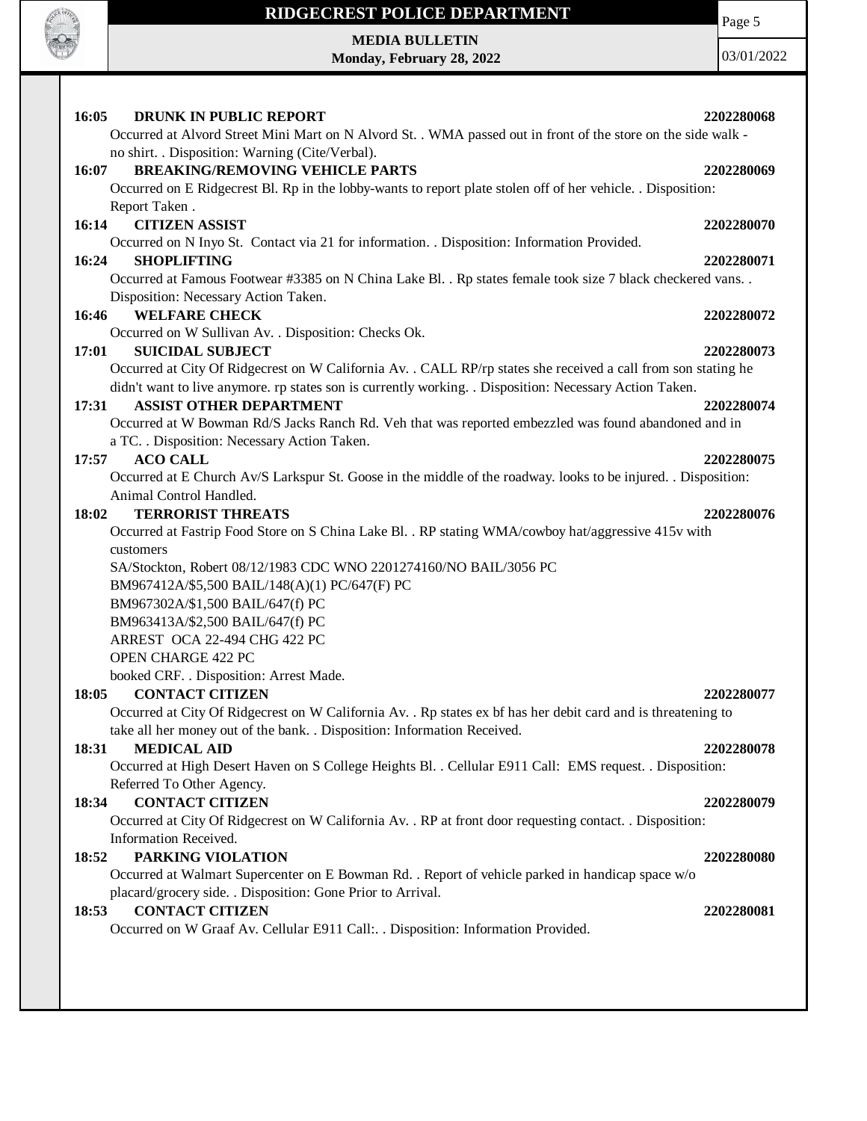

T

### **RIDGECREST POLICE DEPARTMENT**

# **MEDIA BULLETIN**

**Monday, February 28, 2022**

| 16:05<br><b>DRUNK IN PUBLIC REPORT</b><br>Occurred at Alvord Street Mini Mart on N Alvord St. . WMA passed out in front of the store on the side walk -         | 2202280068 |
|-----------------------------------------------------------------------------------------------------------------------------------------------------------------|------------|
| no shirt. . Disposition: Warning (Cite/Verbal).                                                                                                                 |            |
| <b>BREAKING/REMOVING VEHICLE PARTS</b><br>16:07                                                                                                                 | 2202280069 |
| Occurred on E Ridgecrest Bl. Rp in the lobby-wants to report plate stolen off of her vehicle. . Disposition:                                                    |            |
| Report Taken.                                                                                                                                                   |            |
| <b>CITIZEN ASSIST</b><br>16:14                                                                                                                                  | 2202280070 |
| Occurred on N Inyo St. Contact via 21 for information. . Disposition: Information Provided.                                                                     |            |
| 16:24<br><b>SHOPLIFTING</b>                                                                                                                                     | 2202280071 |
| Occurred at Famous Footwear #3385 on N China Lake Bl. . Rp states female took size 7 black checkered vans. .<br>Disposition: Necessary Action Taken.            |            |
| 16:46<br><b>WELFARE CHECK</b>                                                                                                                                   | 2202280072 |
| Occurred on W Sullivan Av. . Disposition: Checks Ok.                                                                                                            |            |
| <b>SUICIDAL SUBJECT</b><br>17:01                                                                                                                                | 2202280073 |
| Occurred at City Of Ridgecrest on W California Av. . CALL RP/rp states she received a call from son stating he                                                  |            |
| didn't want to live anymore. rp states son is currently working. . Disposition: Necessary Action Taken.                                                         |            |
| <b>ASSIST OTHER DEPARTMENT</b><br>17:31                                                                                                                         | 2202280074 |
| Occurred at W Bowman Rd/S Jacks Ranch Rd. Veh that was reported embezzled was found abandoned and in                                                            |            |
| a TC. . Disposition: Necessary Action Taken.                                                                                                                    |            |
| <b>ACO CALL</b><br>17:57                                                                                                                                        | 2202280075 |
| Occurred at E Church Av/S Larkspur St. Goose in the middle of the roadway. looks to be injured. . Disposition:                                                  |            |
| Animal Control Handled.                                                                                                                                         |            |
| <b>TERRORIST THREATS</b><br>18:02                                                                                                                               | 2202280076 |
| Occurred at Fastrip Food Store on S China Lake Bl. . RP stating WMA/cowboy hat/aggressive 415v with                                                             |            |
| customers                                                                                                                                                       |            |
| SA/Stockton, Robert 08/12/1983 CDC WNO 2201274160/NO BAIL/3056 PC                                                                                               |            |
| BM967412A/\$5,500 BAIL/148(A)(1) PC/647(F) PC                                                                                                                   |            |
| BM967302A/\$1,500 BAIL/647(f) PC                                                                                                                                |            |
| BM963413A/\$2,500 BAIL/647(f) PC                                                                                                                                |            |
| ARREST OCA 22-494 CHG 422 PC                                                                                                                                    |            |
| OPEN CHARGE 422 PC                                                                                                                                              |            |
| booked CRF. . Disposition: Arrest Made.                                                                                                                         |            |
| <b>CONTACT CITIZEN</b><br>18:05                                                                                                                                 | 2202280077 |
| Occurred at City Of Ridgecrest on W California Av. . Rp states ex bf has her debit card and is threatening to                                                   |            |
| take all her money out of the bank. . Disposition: Information Received.                                                                                        |            |
| <b>MEDICAL AID</b><br>18:31                                                                                                                                     | 2202280078 |
| Occurred at High Desert Haven on S College Heights Bl. . Cellular E911 Call: EMS request. . Disposition:                                                        |            |
| Referred To Other Agency.                                                                                                                                       |            |
| <b>CONTACT CITIZEN</b><br>18:34                                                                                                                                 | 2202280079 |
| Occurred at City Of Ridgecrest on W California Av. . RP at front door requesting contact. . Disposition:                                                        |            |
| Information Received.                                                                                                                                           |            |
| PARKING VIOLATION<br>18:52                                                                                                                                      | 2202280080 |
| Occurred at Walmart Supercenter on E Bowman Rd. . Report of vehicle parked in handicap space w/o<br>placard/grocery side. . Disposition: Gone Prior to Arrival. |            |
| <b>CONTACT CITIZEN</b><br>18:53                                                                                                                                 | 2202280081 |
| Occurred on W Graaf Av. Cellular E911 Call:. . Disposition: Information Provided.                                                                               |            |
|                                                                                                                                                                 |            |
|                                                                                                                                                                 |            |
|                                                                                                                                                                 |            |
|                                                                                                                                                                 |            |
|                                                                                                                                                                 |            |